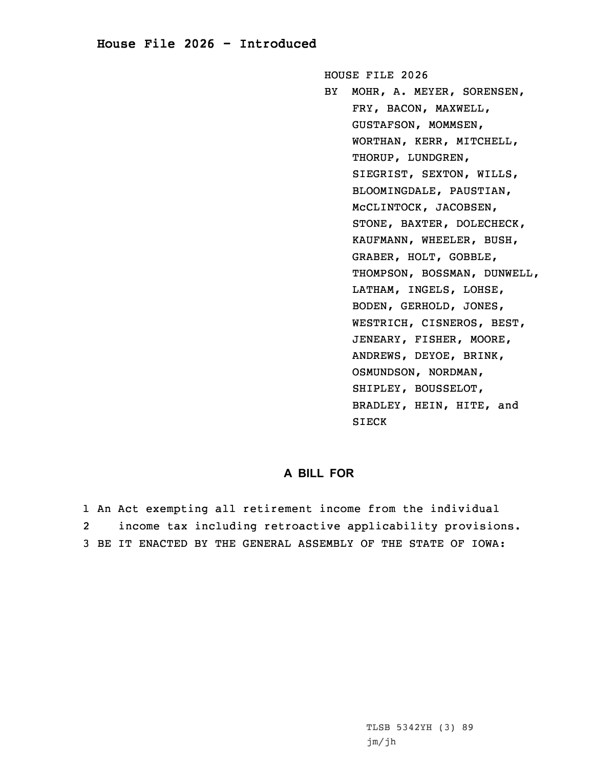## **House File 2026 - Introduced**

HOUSE FILE 2026

BY MOHR, A. MEYER, SORENSEN, FRY, BACON, MAXWELL, GUSTAFSON, MOMMSEN, WORTHAN, KERR, MITCHELL, THORUP, LUNDGREN, SIEGRIST, SEXTON, WILLS, BLOOMINGDALE, PAUSTIAN, McCLINTOCK, JACOBSEN, STONE, BAXTER, DOLECHECK, KAUFMANN, WHEELER, BUSH, GRABER, HOLT, GOBBLE, THOMPSON, BOSSMAN, DUNWELL, LATHAM, INGELS, LOHSE, BODEN, GERHOLD, JONES, WESTRICH, CISNEROS, BEST, JENEARY, FISHER, MOORE, ANDREWS, DEYOE, BRINK, OSMUNDSON, NORDMAN, SHIPLEY, BOUSSELOT, BRADLEY, HEIN, HITE, and SIECK

## **A BILL FOR**

1 An Act exempting all retirement income from the individual 2 income tax including retroactive applicability provisions. 3 BE IT ENACTED BY THE GENERAL ASSEMBLY OF THE STATE OF IOWA: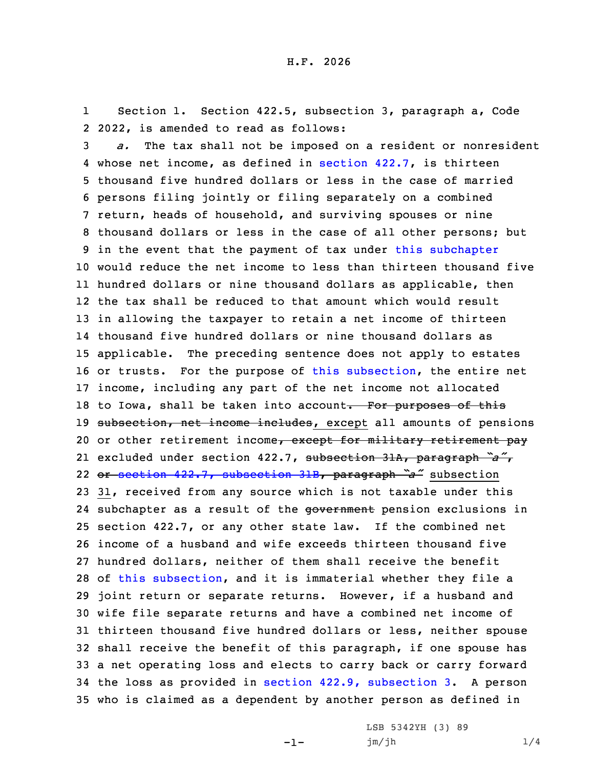1 Section 1. Section 422.5, subsection 3, paragraph a, Code 2 2022, is amended to read as follows:

 *a.* The tax shall not be imposed on <sup>a</sup> resident or nonresident whose net income, as defined in [section](https://www.legis.iowa.gov/docs/code/2022/422.7.pdf) 422.7, is thirteen thousand five hundred dollars or less in the case of married persons filing jointly or filing separately on <sup>a</sup> combined return, heads of household, and surviving spouses or nine thousand dollars or less in the case of all other persons; but in the event that the payment of tax under this [subchapter](https://www.legis.iowa.gov/docs/code/2022/422.pdf) would reduce the net income to less than thirteen thousand five hundred dollars or nine thousand dollars as applicable, then the tax shall be reduced to that amount which would result in allowing the taxpayer to retain <sup>a</sup> net income of thirteen thousand five hundred dollars or nine thousand dollars as applicable. The preceding sentence does not apply to estates or trusts. For the purpose of this [subsection](https://www.legis.iowa.gov/docs/code/2022/422.5.pdf), the entire net income, including any part of the net income not allocated 18 to Iowa, shall be taken into account. For purposes of this 19 subsection, net income includes, except all amounts of pensions 20 or other retirement income, except for military retirement pay excluded under section 422.7, subsection 31A, paragraph *"a"*, or section 422.7, [subsection](https://www.legis.iowa.gov/docs/code/2022/422.7.pdf) 31B, paragraph *"a"* subsection 31, received from any source which is not taxable under this 24 subchapter as a result of the government pension exclusions in section 422.7, or any other state law. If the combined net income of <sup>a</sup> husband and wife exceeds thirteen thousand five hundred dollars, neither of them shall receive the benefit of this [subsection](https://www.legis.iowa.gov/docs/code/2022/422.5.pdf), and it is immaterial whether they file <sup>a</sup> joint return or separate returns. However, if <sup>a</sup> husband and wife file separate returns and have <sup>a</sup> combined net income of thirteen thousand five hundred dollars or less, neither spouse shall receive the benefit of this paragraph, if one spouse has <sup>a</sup> net operating loss and elects to carry back or carry forward the loss as provided in section 422.9, [subsection](https://www.legis.iowa.gov/docs/code/2022/422.9.pdf) 3. <sup>A</sup> person who is claimed as <sup>a</sup> dependent by another person as defined in

-1-

LSB 5342YH (3) 89 jm/jh 1/4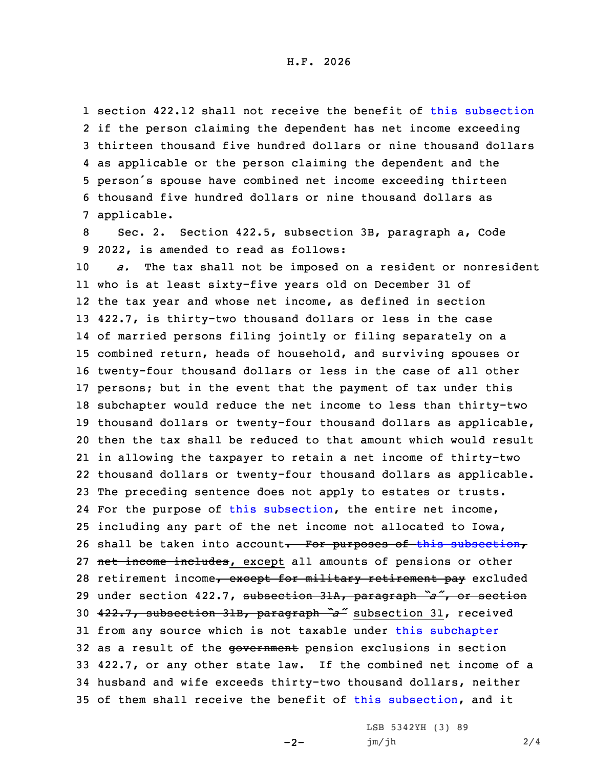section 422.12 shall not receive the benefit of this [subsection](https://www.legis.iowa.gov/docs/code/2022/422.5.pdf) if the person claiming the dependent has net income exceeding thirteen thousand five hundred dollars or nine thousand dollars as applicable or the person claiming the dependent and the person's spouse have combined net income exceeding thirteen thousand five hundred dollars or nine thousand dollars as applicable.

8 Sec. 2. Section 422.5, subsection 3B, paragraph a, Code 9 2022, is amended to read as follows:

 *a.* The tax shall not be imposed on <sup>a</sup> resident or nonresident who is at least sixty-five years old on December 31 of the tax year and whose net income, as defined in section 422.7, is thirty-two thousand dollars or less in the case of married persons filing jointly or filing separately on <sup>a</sup> combined return, heads of household, and surviving spouses or twenty-four thousand dollars or less in the case of all other persons; but in the event that the payment of tax under this subchapter would reduce the net income to less than thirty-two thousand dollars or twenty-four thousand dollars as applicable, then the tax shall be reduced to that amount which would result in allowing the taxpayer to retain <sup>a</sup> net income of thirty-two thousand dollars or twenty-four thousand dollars as applicable. The preceding sentence does not apply to estates or trusts. For the purpose of this [subsection](https://www.legis.iowa.gov/docs/code/2022/422.5.pdf), the entire net income, including any part of the net income not allocated to Iowa, 26 shall be taken into account. For purposes of this [subsection](https://www.legis.iowa.gov/docs/code/2022/422.5.pdf), 27 net income includes, except all amounts of pensions or other 28 retirement income, except for military retirement pay excluded under section 422.7, subsection 31A, paragraph *"a"*, or section 422.7, subsection 31B, paragraph *"a"* subsection 31, received from any source which is not taxable under this [subchapter](https://www.legis.iowa.gov/docs/code/2022/422.pdf) 32 as a result of the government pension exclusions in section 422.7, or any other state law. If the combined net income of <sup>a</sup> husband and wife exceeds thirty-two thousand dollars, neither of them shall receive the benefit of this [subsection](https://www.legis.iowa.gov/docs/code/2022/422.5.pdf), and it

 $-2-$ 

LSB 5342YH (3) 89 jm/jh 2/4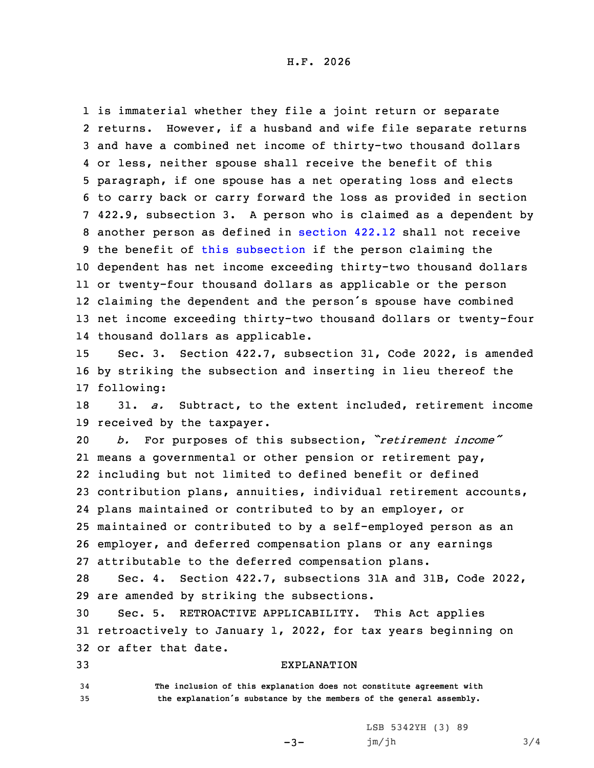is immaterial whether they file <sup>a</sup> joint return or separate returns. However, if <sup>a</sup> husband and wife file separate returns and have <sup>a</sup> combined net income of thirty-two thousand dollars or less, neither spouse shall receive the benefit of this paragraph, if one spouse has <sup>a</sup> net operating loss and elects to carry back or carry forward the loss as provided in section 422.9, subsection 3. <sup>A</sup> person who is claimed as <sup>a</sup> dependent by another person as defined in [section](https://www.legis.iowa.gov/docs/code/2022/422.12.pdf) 422.12 shall not receive the benefit of this [subsection](https://www.legis.iowa.gov/docs/code/2022/422.5.pdf) if the person claiming the dependent has net income exceeding thirty-two thousand dollars or twenty-four thousand dollars as applicable or the person claiming the dependent and the person's spouse have combined net income exceeding thirty-two thousand dollars or twenty-four thousand dollars as applicable.

15 Sec. 3. Section 422.7, subsection 31, Code 2022, is amended 16 by striking the subsection and inserting in lieu thereof the 17 following:

18 31. *a.* Subtract, to the extent included, retirement income 19 received by the taxpayer.

 *b.* For purposes of this subsection, *"retirement income"* means <sup>a</sup> governmental or other pension or retirement pay, including but not limited to defined benefit or defined contribution plans, annuities, individual retirement accounts, plans maintained or contributed to by an employer, or maintained or contributed to by <sup>a</sup> self-employed person as an employer, and deferred compensation plans or any earnings attributable to the deferred compensation plans.

28 Sec. 4. Section 422.7, subsections 31A and 31B, Code 2022, 29 are amended by striking the subsections.

30 Sec. 5. RETROACTIVE APPLICABILITY. This Act applies 31 retroactively to January 1, 2022, for tax years beginning on 32 or after that date.

 $-3-$ 

## 33 EXPLANATION

34 **The inclusion of this explanation does not constitute agreement with** <sup>35</sup> **the explanation's substance by the members of the general assembly.**

> LSB 5342YH (3) 89 jm/jh 3/4